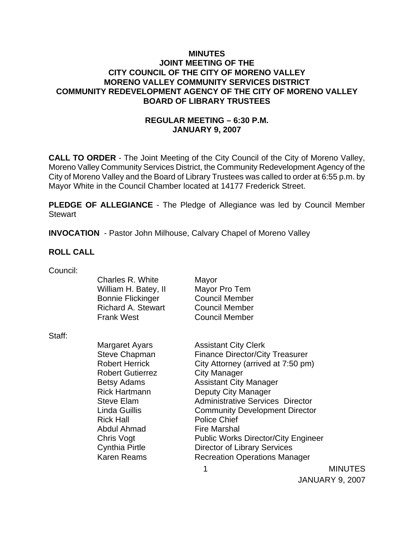### **MINUTES JOINT MEETING OF THE CITY COUNCIL OF THE CITY OF MORENO VALLEY MORENO VALLEY COMMUNITY SERVICES DISTRICT COMMUNITY REDEVELOPMENT AGENCY OF THE CITY OF MORENO VALLEY BOARD OF LIBRARY TRUSTEES**

# **REGULAR MEETING – 6:30 P.M. JANUARY 9, 2007**

**CALL TO ORDER** - The Joint Meeting of the City Council of the City of Moreno Valley, Moreno Valley Community Services District, the Community Redevelopment Agency of the City of Moreno Valley and the Board of Library Trustees was called to order at 6:55 p.m. by Mayor White in the Council Chamber located at 14177 Frederick Street.

**PLEDGE OF ALLEGIANCE** - The Pledge of Allegiance was led by Council Member Stewart

**INVOCATION** - Pastor John Milhouse, Calvary Chapel of Moreno Valley

### **ROLL CALL**

| Council: |  |
|----------|--|
|          |  |

| ovu ivii. |                                          |                                            |                |
|-----------|------------------------------------------|--------------------------------------------|----------------|
|           | Charles R. White<br>William H. Batey, II | Mayor<br>Mayor Pro Tem                     |                |
|           | <b>Bonnie Flickinger</b>                 | <b>Council Member</b>                      |                |
|           | <b>Richard A. Stewart</b>                | <b>Council Member</b>                      |                |
|           | <b>Frank West</b>                        | <b>Council Member</b>                      |                |
| Staff:    |                                          |                                            |                |
|           | Margaret Ayars                           | <b>Assistant City Clerk</b>                |                |
|           | <b>Steve Chapman</b>                     | <b>Finance Director/City Treasurer</b>     |                |
|           | <b>Robert Herrick</b>                    | City Attorney (arrived at 7:50 pm)         |                |
|           | <b>Robert Gutierrez</b>                  | <b>City Manager</b>                        |                |
|           | Betsy Adams                              | <b>Assistant City Manager</b>              |                |
|           | <b>Rick Hartmann</b>                     | Deputy City Manager                        |                |
|           | <b>Steve Elam</b>                        | <b>Administrative Services Director</b>    |                |
|           | Linda Guillis                            | <b>Community Development Director</b>      |                |
|           | <b>Rick Hall</b>                         | <b>Police Chief</b>                        |                |
|           | Abdul Ahmad                              | <b>Fire Marshal</b>                        |                |
|           | Chris Vogt                               | <b>Public Works Director/City Engineer</b> |                |
|           | Cynthia Pirtle                           | <b>Director of Library Services</b>        |                |
|           | <b>Karen Reams</b>                       | <b>Recreation Operations Manager</b>       |                |
|           |                                          |                                            | <b>MINUTES</b> |
|           |                                          |                                            |                |

JANUARY 9, 2007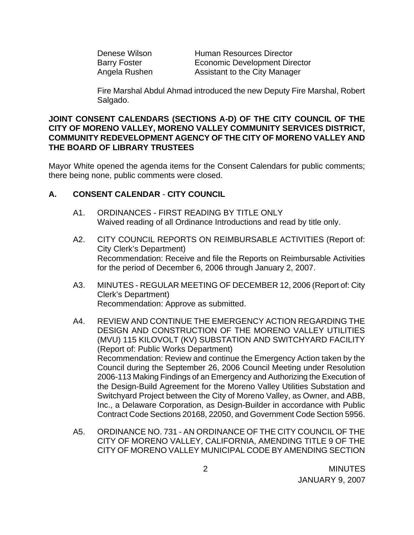| Denese Wilson       | <b>Human Resources Director</b>      |
|---------------------|--------------------------------------|
| <b>Barry Foster</b> | <b>Economic Development Director</b> |
| Angela Rushen       | Assistant to the City Manager        |

Fire Marshal Abdul Ahmad introduced the new Deputy Fire Marshal, Robert Salgado.

### **JOINT CONSENT CALENDARS (SECTIONS A-D) OF THE CITY COUNCIL OF THE CITY OF MORENO VALLEY, MORENO VALLEY COMMUNITY SERVICES DISTRICT, COMMUNITY REDEVELOPMENT AGENCY OF THE CITY OF MORENO VALLEY AND THE BOARD OF LIBRARY TRUSTEES**

Mayor White opened the agenda items for the Consent Calendars for public comments; there being none, public comments were closed.

## **A. CONSENT CALENDAR** - **CITY COUNCIL**

- A1. ORDINANCES FIRST READING BY TITLE ONLY Waived reading of all Ordinance Introductions and read by title only.
- A2. CITY COUNCIL REPORTS ON REIMBURSABLE ACTIVITIES (Report of: City Clerk's Department) Recommendation: Receive and file the Reports on Reimbursable Activities for the period of December 6, 2006 through January 2, 2007.
- A3. MINUTES REGULAR MEETING OF DECEMBER 12, 2006 (Report of: City Clerk's Department) Recommendation: Approve as submitted.
- A4. REVIEW AND CONTINUE THE EMERGENCY ACTION REGARDING THE DESIGN AND CONSTRUCTION OF THE MORENO VALLEY UTILITIES (MVU) 115 KILOVOLT (KV) SUBSTATION AND SWITCHYARD FACILITY (Report of: Public Works Department) Recommendation: Review and continue the Emergency Action taken by the Council during the September 26, 2006 Council Meeting under Resolution 2006-113 Making Findings of an Emergency and Authorizing the Execution of the Design-Build Agreement for the Moreno Valley Utilities Substation and Switchyard Project between the City of Moreno Valley, as Owner, and ABB, Inc., a Delaware Corporation, as Design-Builder in accordance with Public Contract Code Sections 20168, 22050, and Government Code Section 5956.
- A5. ORDINANCE NO. 731 AN ORDINANCE OF THE CITY COUNCIL OF THE CITY OF MORENO VALLEY, CALIFORNIA, AMENDING TITLE 9 OF THE CITY OF MORENO VALLEY MUNICIPAL CODE BY AMENDING SECTION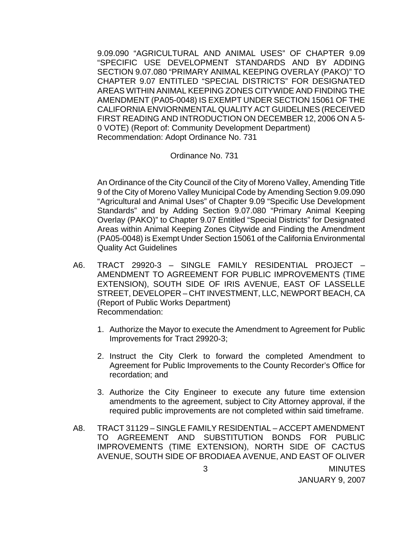9.09.090 "AGRICULTURAL AND ANIMAL USES" OF CHAPTER 9.09 "SPECIFIC USE DEVELOPMENT STANDARDS AND BY ADDING SECTION 9.07.080 "PRIMARY ANIMAL KEEPING OVERLAY (PAKO)" TO CHAPTER 9.07 ENTITLED "SPECIAL DISTRICTS" FOR DESIGNATED AREAS WITHIN ANIMAL KEEPING ZONES CITYWIDE AND FINDING THE AMENDMENT (PA05-0048) IS EXEMPT UNDER SECTION 15061 OF THE CALIFORNIA ENVIORNMENTAL QUALITY ACT GUIDELINES (RECEIVED FIRST READING AND INTRODUCTION ON DECEMBER 12, 2006 ON A 5- 0 VOTE) (Report of: Community Development Department) Recommendation: Adopt Ordinance No. 731

#### Ordinance No. 731

 An Ordinance of the City Council of the City of Moreno Valley, Amending Title 9 of the City of Moreno Valley Municipal Code by Amending Section 9.09.090 "Agricultural and Animal Uses" of Chapter 9.09 "Specific Use Development Standards" and by Adding Section 9.07.080 "Primary Animal Keeping Overlay (PAKO)" to Chapter 9.07 Entitled "Special Districts" for Designated Areas within Animal Keeping Zones Citywide and Finding the Amendment (PA05-0048) is Exempt Under Section 15061 of the California Environmental Quality Act Guidelines

- A6. TRACT 29920-3 SINGLE FAMILY RESIDENTIAL PROJECT AMENDMENT TO AGREEMENT FOR PUBLIC IMPROVEMENTS (TIME EXTENSION), SOUTH SIDE OF IRIS AVENUE, EAST OF LASSELLE STREET, DEVELOPER – CHT INVESTMENT, LLC, NEWPORT BEACH, CA (Report of Public Works Department) Recommendation:
	- 1. Authorize the Mayor to execute the Amendment to Agreement for Public Improvements for Tract 29920-3;
	- 2. Instruct the City Clerk to forward the completed Amendment to Agreement for Public Improvements to the County Recorder's Office for recordation; and
	- 3. Authorize the City Engineer to execute any future time extension amendments to the agreement, subject to City Attorney approval, if the required public improvements are not completed within said timeframe.
- A8. TRACT 31129 SINGLE FAMILY RESIDENTIAL ACCEPT AMENDMENT TO AGREEMENT AND SUBSTITUTION BONDS FOR PUBLIC IMPROVEMENTS (TIME EXTENSION), NORTH SIDE OF CACTUS AVENUE, SOUTH SIDE OF BRODIAEA AVENUE, AND EAST OF OLIVER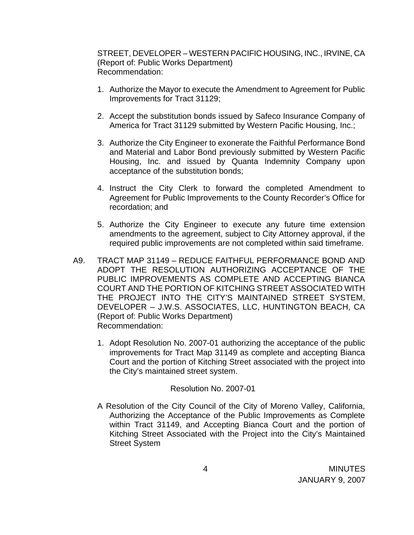STREET, DEVELOPER – WESTERN PACIFIC HOUSING, INC., IRVINE, CA (Report of: Public Works Department) Recommendation:

- 1. Authorize the Mayor to execute the Amendment to Agreement for Public Improvements for Tract 31129;
- 2. Accept the substitution bonds issued by Safeco Insurance Company of America for Tract 31129 submitted by Western Pacific Housing, Inc.;
- 3. Authorize the City Engineer to exonerate the Faithful Performance Bond and Material and Labor Bond previously submitted by Western Pacific Housing, Inc. and issued by Quanta Indemnity Company upon acceptance of the substitution bonds;
- 4. Instruct the City Clerk to forward the completed Amendment to Agreement for Public Improvements to the County Recorder's Office for recordation; and
- 5. Authorize the City Engineer to execute any future time extension amendments to the agreement, subject to City Attorney approval, if the required public improvements are not completed within said timeframe.
- A9. TRACT MAP 31149 REDUCE FAITHFUL PERFORMANCE BOND AND ADOPT THE RESOLUTION AUTHORIZING ACCEPTANCE OF THE PUBLIC IMPROVEMENTS AS COMPLETE AND ACCEPTING BIANCA COURT AND THE PORTION OF KITCHING STREET ASSOCIATED WITH THE PROJECT INTO THE CITY'S MAINTAINED STREET SYSTEM, DEVELOPER – J.W.S. ASSOCIATES, LLC, HUNTINGTON BEACH, CA (Report of: Public Works Department) Recommendation:
	- 1. Adopt Resolution No. 2007-01 authorizing the acceptance of the public improvements for Tract Map 31149 as complete and accepting Bianca Court and the portion of Kitching Street associated with the project into the City's maintained street system.

#### Resolution No. 2007-01

 A Resolution of the City Council of the City of Moreno Valley, California, Authorizing the Acceptance of the Public Improvements as Complete within Tract 31149, and Accepting Bianca Court and the portion of Kitching Street Associated with the Project into the City's Maintained Street System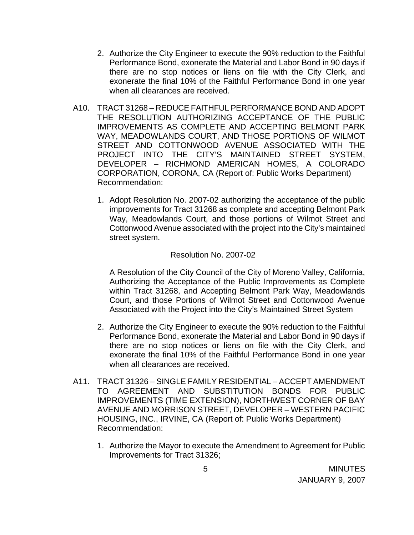- 2. Authorize the City Engineer to execute the 90% reduction to the Faithful Performance Bond, exonerate the Material and Labor Bond in 90 days if there are no stop notices or liens on file with the City Clerk, and exonerate the final 10% of the Faithful Performance Bond in one year when all clearances are received.
- A10. TRACT 31268 REDUCE FAITHFUL PERFORMANCE BOND AND ADOPT THE RESOLUTION AUTHORIZING ACCEPTANCE OF THE PUBLIC IMPROVEMENTS AS COMPLETE AND ACCEPTING BELMONT PARK WAY, MEADOWLANDS COURT, AND THOSE PORTIONS OF WILMOT STREET AND COTTONWOOD AVENUE ASSOCIATED WITH THE PROJECT INTO THE CITY'S MAINTAINED STREET SYSTEM, DEVELOPER – RICHMOND AMERICAN HOMES, A COLORADO CORPORATION, CORONA, CA (Report of: Public Works Department) Recommendation:
	- 1. Adopt Resolution No. 2007-02 authorizing the acceptance of the public improvements for Tract 31268 as complete and accepting Belmont Park Way, Meadowlands Court, and those portions of Wilmot Street and Cottonwood Avenue associated with the project into the City's maintained street system.

### Resolution No. 2007-02

A Resolution of the City Council of the City of Moreno Valley, California, Authorizing the Acceptance of the Public Improvements as Complete within Tract 31268, and Accepting Belmont Park Way, Meadowlands Court, and those Portions of Wilmot Street and Cottonwood Avenue Associated with the Project into the City's Maintained Street System

- 2. Authorize the City Engineer to execute the 90% reduction to the Faithful Performance Bond, exonerate the Material and Labor Bond in 90 days if there are no stop notices or liens on file with the City Clerk, and exonerate the final 10% of the Faithful Performance Bond in one year when all clearances are received.
- A11. TRACT 31326 SINGLE FAMILY RESIDENTIAL ACCEPT AMENDMENT TO AGREEMENT AND SUBSTITUTION BONDS FOR PUBLIC IMPROVEMENTS (TIME EXTENSION), NORTHWEST CORNER OF BAY AVENUE AND MORRISON STREET, DEVELOPER – WESTERN PACIFIC HOUSING, INC., IRVINE, CA (Report of: Public Works Department) Recommendation:
	- 1. Authorize the Mayor to execute the Amendment to Agreement for Public Improvements for Tract 31326;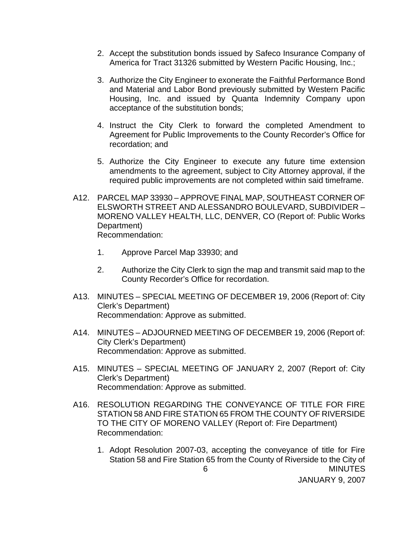- 2. Accept the substitution bonds issued by Safeco Insurance Company of America for Tract 31326 submitted by Western Pacific Housing, Inc.;
- 3. Authorize the City Engineer to exonerate the Faithful Performance Bond and Material and Labor Bond previously submitted by Western Pacific Housing, Inc. and issued by Quanta Indemnity Company upon acceptance of the substitution bonds;
- 4. Instruct the City Clerk to forward the completed Amendment to Agreement for Public Improvements to the County Recorder's Office for recordation; and
- 5. Authorize the City Engineer to execute any future time extension amendments to the agreement, subject to City Attorney approval, if the required public improvements are not completed within said timeframe.
- A12. PARCEL MAP 33930 APPROVE FINAL MAP, SOUTHEAST CORNER OF ELSWORTH STREET AND ALESSANDRO BOULEVARD, SUBDIVIDER – MORENO VALLEY HEALTH, LLC, DENVER, CO (Report of: Public Works Department) Recommendation:
	- 1. Approve Parcel Map 33930; and
	- 2. Authorize the City Clerk to sign the map and transmit said map to the County Recorder's Office for recordation.
- A13. MINUTES SPECIAL MEETING OF DECEMBER 19, 2006 (Report of: City Clerk's Department) Recommendation: Approve as submitted.
- A14. MINUTES ADJOURNED MEETING OF DECEMBER 19, 2006 (Report of: City Clerk's Department) Recommendation: Approve as submitted.
- A15. MINUTES SPECIAL MEETING OF JANUARY 2, 2007 (Report of: City Clerk's Department) Recommendation: Approve as submitted.
- A16. RESOLUTION REGARDING THE CONVEYANCE OF TITLE FOR FIRE STATION 58 AND FIRE STATION 65 FROM THE COUNTY OF RIVERSIDE TO THE CITY OF MORENO VALLEY (Report of: Fire Department) Recommendation:
- 6 MINUTES 1. Adopt Resolution 2007-03, accepting the conveyance of title for Fire Station 58 and Fire Station 65 from the County of Riverside to the City of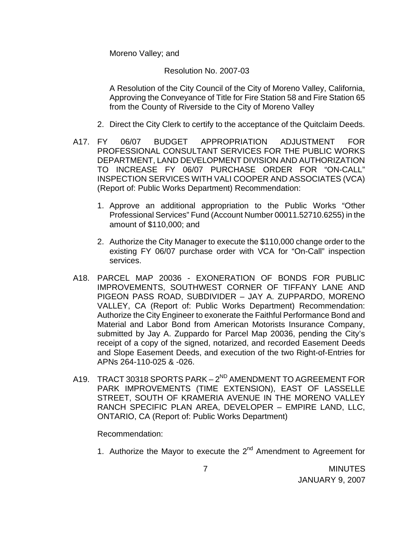Moreno Valley; and

### Resolution No. 2007-03

A Resolution of the City Council of the City of Moreno Valley, California, Approving the Conveyance of Title for Fire Station 58 and Fire Station 65 from the County of Riverside to the City of Moreno Valley

- 2. Direct the City Clerk to certify to the acceptance of the Quitclaim Deeds.
- A17. FY 06/07 BUDGET APPROPRIATION ADJUSTMENT FOR PROFESSIONAL CONSULTANT SERVICES FOR THE PUBLIC WORKS DEPARTMENT, LAND DEVELOPMENT DIVISION AND AUTHORIZATION TO INCREASE FY 06/07 PURCHASE ORDER FOR "ON-CALL" INSPECTION SERVICES WITH VALI COOPER AND ASSOCIATES (VCA) (Report of: Public Works Department) Recommendation:
	- 1. Approve an additional appropriation to the Public Works "Other Professional Services" Fund (Account Number 00011.52710.6255) in the amount of \$110,000; and
	- 2. Authorize the City Manager to execute the \$110,000 change order to the existing FY 06/07 purchase order with VCA for "On-Call" inspection services.
- A18. PARCEL MAP 20036 EXONERATION OF BONDS FOR PUBLIC IMPROVEMENTS, SOUTHWEST CORNER OF TIFFANY LANE AND PIGEON PASS ROAD, SUBDIVIDER – JAY A. ZUPPARDO, MORENO VALLEY, CA (Report of: Public Works Department) Recommendation: Authorize the City Engineer to exonerate the Faithful Performance Bond and Material and Labor Bond from American Motorists Insurance Company, submitted by Jay A. Zuppardo for Parcel Map 20036, pending the City's receipt of a copy of the signed, notarized, and recorded Easement Deeds and Slope Easement Deeds, and execution of the two Right-of-Entries for APNs 264-110-025 & -026.
- A19. TRACT 30318 SPORTS PARK 2<sup>ND</sup> AMENDMENT TO AGREEMENT FOR PARK IMPROVEMENTS (TIME EXTENSION), EAST OF LASSELLE STREET, SOUTH OF KRAMERIA AVENUE IN THE MORENO VALLEY RANCH SPECIFIC PLAN AREA, DEVELOPER – EMPIRE LAND, LLC, ONTARIO, CA (Report of: Public Works Department)

#### Recommendation:

1. Authorize the Mayor to execute the  $2^{nd}$  Amendment to Agreement for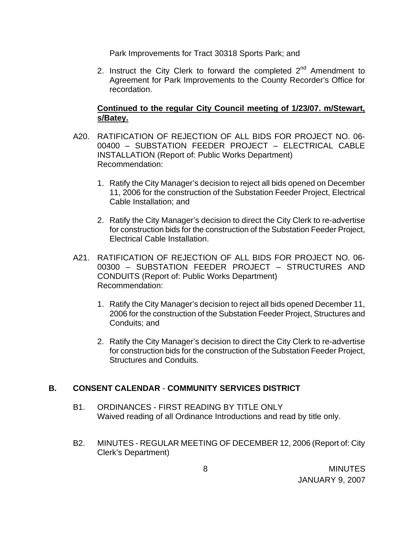Park Improvements for Tract 30318 Sports Park; and

2. Instruct the City Clerk to forward the completed  $2^{nd}$  Amendment to Agreement for Park Improvements to the County Recorder's Office for recordation.

## **Continued to the regular City Council meeting of 1/23/07. m/Stewart, s/Batey.**

- A20. RATIFICATION OF REJECTION OF ALL BIDS FOR PROJECT NO. 06- 00400 – SUBSTATION FEEDER PROJECT – ELECTRICAL CABLE INSTALLATION (Report of: Public Works Department) Recommendation:
	- 1. Ratify the City Manager's decision to reject all bids opened on December 11, 2006 for the construction of the Substation Feeder Project, Electrical Cable Installation; and
	- 2. Ratify the City Manager's decision to direct the City Clerk to re-advertise for construction bids for the construction of the Substation Feeder Project, Electrical Cable Installation.
- A21. RATIFICATION OF REJECTION OF ALL BIDS FOR PROJECT NO. 06- 00300 – SUBSTATION FEEDER PROJECT – STRUCTURES AND CONDUITS (Report of: Public Works Department) Recommendation:
	- 1. Ratify the City Manager's decision to reject all bids opened December 11, 2006 for the construction of the Substation Feeder Project, Structures and Conduits; and
	- 2. Ratify the City Manager's decision to direct the City Clerk to re-advertise for construction bids for the construction of the Substation Feeder Project, Structures and Conduits.

# **B. CONSENT CALENDAR** - **COMMUNITY SERVICES DISTRICT**

- B1. ORDINANCES FIRST READING BY TITLE ONLY Waived reading of all Ordinance Introductions and read by title only.
- B2. MINUTES REGULAR MEETING OF DECEMBER 12, 2006 (Report of: City Clerk's Department)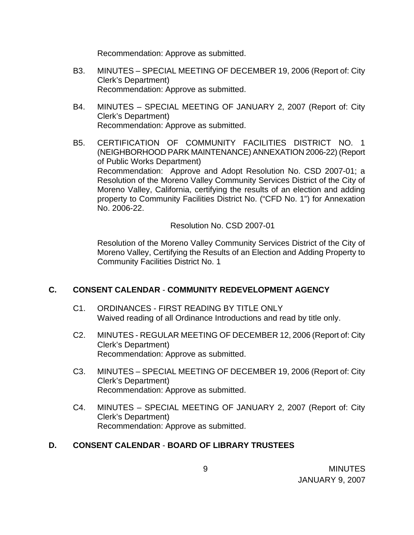Recommendation: Approve as submitted.

- B3. MINUTES SPECIAL MEETING OF DECEMBER 19, 2006 (Report of: City Clerk's Department) Recommendation: Approve as submitted.
- B4. MINUTES SPECIAL MEETING OF JANUARY 2, 2007 (Report of: City Clerk's Department) Recommendation: Approve as submitted.
- B5. CERTIFICATION OF COMMUNITY FACILITIES DISTRICT NO. 1 (NEIGHBORHOOD PARK MAINTENANCE) ANNEXATION 2006-22) (Report of Public Works Department) Recommendation: Approve and Adopt Resolution No. CSD 2007-01; a Resolution of the Moreno Valley Community Services District of the City of Moreno Valley, California, certifying the results of an election and adding property to Community Facilities District No. ("CFD No. 1") for Annexation No. 2006-22.

Resolution No. CSD 2007-01

 Resolution of the Moreno Valley Community Services District of the City of Moreno Valley, Certifying the Results of an Election and Adding Property to Community Facilities District No. 1

# **C. CONSENT CALENDAR** - **COMMUNITY REDEVELOPMENT AGENCY**

- C1. ORDINANCES FIRST READING BY TITLE ONLY Waived reading of all Ordinance Introductions and read by title only.
- C2. MINUTES REGULAR MEETING OF DECEMBER 12, 2006 (Report of: City Clerk's Department) Recommendation: Approve as submitted.
- C3. MINUTES SPECIAL MEETING OF DECEMBER 19, 2006 (Report of: City Clerk's Department) Recommendation: Approve as submitted.
- C4. MINUTES SPECIAL MEETING OF JANUARY 2, 2007 (Report of: City Clerk's Department) Recommendation: Approve as submitted.

# **D. CONSENT CALENDAR** - **BOARD OF LIBRARY TRUSTEES**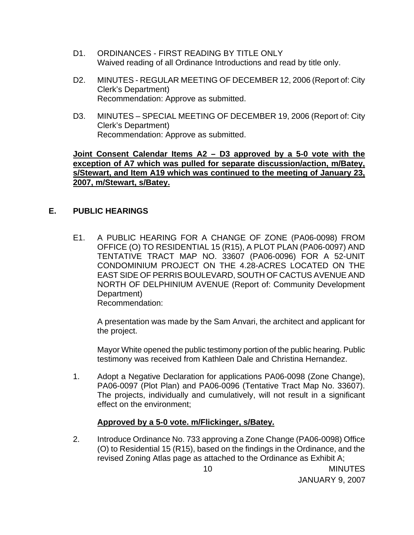- D1. ORDINANCES FIRST READING BY TITLE ONLY Waived reading of all Ordinance Introductions and read by title only.
- D2. MINUTES REGULAR MEETING OF DECEMBER 12, 2006 (Report of: City Clerk's Department) Recommendation: Approve as submitted.
- D3. MINUTES SPECIAL MEETING OF DECEMBER 19, 2006 (Report of: City Clerk's Department) Recommendation: Approve as submitted.

### **Joint Consent Calendar Items A2 – D3 approved by a 5-0 vote with the exception of A7 which was pulled for separate discussion/action, m/Batey, s/Stewart, and Item A19 which was continued to the meeting of January 23, 2007, m/Stewart, s/Batey.**

## **E. PUBLIC HEARINGS**

E1. A PUBLIC HEARING FOR A CHANGE OF ZONE (PA06-0098) FROM OFFICE (O) TO RESIDENTIAL 15 (R15), A PLOT PLAN (PA06-0097) AND TENTATIVE TRACT MAP NO. 33607 (PA06-0096) FOR A 52-UNIT CONDOMINIUM PROJECT ON THE 4.28-ACRES LOCATED ON THE EAST SIDE OF PERRIS BOULEVARD, SOUTH OF CACTUS AVENUE AND NORTH OF DELPHINIUM AVENUE (Report of: Community Development Department) Recommendation:

A presentation was made by the Sam Anvari, the architect and applicant for the project.

 Mayor White opened the public testimony portion of the public hearing. Public testimony was received from Kathleen Dale and Christina Hernandez.

1. Adopt a Negative Declaration for applications PA06-0098 (Zone Change), PA06-0097 (Plot Plan) and PA06-0096 (Tentative Tract Map No. 33607). The projects, individually and cumulatively, will not result in a significant effect on the environment;

### **Approved by a 5-0 vote. m/Flickinger, s/Batey.**

2. Introduce Ordinance No. 733 approving a Zone Change (PA06-0098) Office (O) to Residential 15 (R15), based on the findings in the Ordinance, and the revised Zoning Atlas page as attached to the Ordinance as Exhibit A;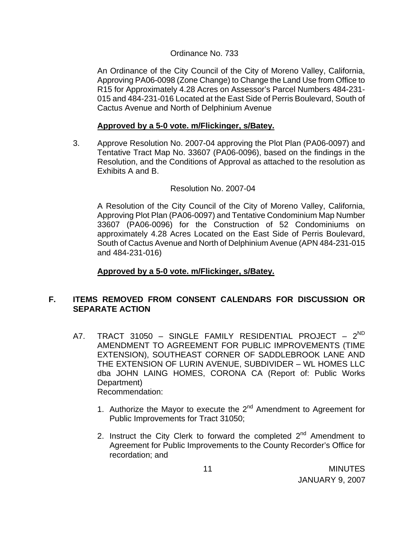### Ordinance No. 733

An Ordinance of the City Council of the City of Moreno Valley, California, Approving PA06-0098 (Zone Change) to Change the Land Use from Office to R15 for Approximately 4.28 Acres on Assessor's Parcel Numbers 484-231- 015 and 484-231-016 Located at the East Side of Perris Boulevard, South of Cactus Avenue and North of Delphinium Avenue

### **Approved by a 5-0 vote. m/Flickinger, s/Batey.**

3. Approve Resolution No. 2007-04 approving the Plot Plan (PA06-0097) and Tentative Tract Map No. 33607 (PA06-0096), based on the findings in the Resolution, and the Conditions of Approval as attached to the resolution as Exhibits A and B.

### Resolution No. 2007-04

 A Resolution of the City Council of the City of Moreno Valley, California, Approving Plot Plan (PA06-0097) and Tentative Condominium Map Number 33607 (PA06-0096) for the Construction of 52 Condominiums on approximately 4.28 Acres Located on the East Side of Perris Boulevard, South of Cactus Avenue and North of Delphinium Avenue (APN 484-231-015 and 484-231-016)

### **Approved by a 5-0 vote. m/Flickinger, s/Batey.**

## **F. ITEMS REMOVED FROM CONSENT CALENDARS FOR DISCUSSION OR SEPARATE ACTION**

- A7. TRACT 31050 SINGLE FAMILY RESIDENTIAL PROJECT  $2^{ND}$ AMENDMENT TO AGREEMENT FOR PUBLIC IMPROVEMENTS (TIME EXTENSION), SOUTHEAST CORNER OF SADDLEBROOK LANE AND THE EXTENSION OF LURIN AVENUE, SUBDIVIDER – WL HOMES LLC dba JOHN LAING HOMES, CORONA CA (Report of: Public Works Department) Recommendation:
	- 1. Authorize the Mayor to execute the  $2^{nd}$  Amendment to Agreement for Public Improvements for Tract 31050;
	- 2. Instruct the City Clerk to forward the completed  $2^{nd}$  Amendment to Agreement for Public Improvements to the County Recorder's Office for recordation; and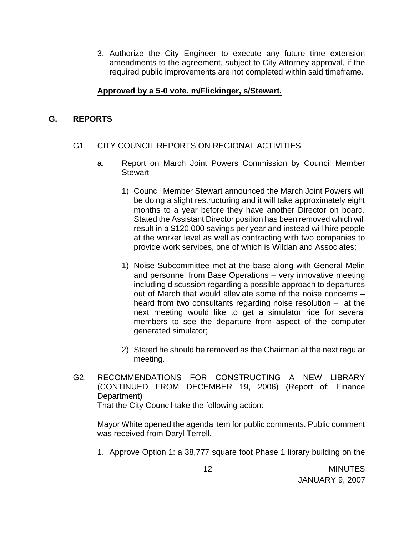3. Authorize the City Engineer to execute any future time extension amendments to the agreement, subject to City Attorney approval, if the required public improvements are not completed within said timeframe.

## **Approved by a 5-0 vote. m/Flickinger, s/Stewart.**

## **G. REPORTS**

## G1. CITY COUNCIL REPORTS ON REGIONAL ACTIVITIES

- a. Report on March Joint Powers Commission by Council Member **Stewart** 
	- 1) Council Member Stewart announced the March Joint Powers will be doing a slight restructuring and it will take approximately eight months to a year before they have another Director on board. Stated the Assistant Director position has been removed which will result in a \$120,000 savings per year and instead will hire people at the worker level as well as contracting with two companies to provide work services, one of which is Wildan and Associates;
	- 1) Noise Subcommittee met at the base along with General Melin and personnel from Base Operations – very innovative meeting including discussion regarding a possible approach to departures out of March that would alleviate some of the noise concerns – heard from two consultants regarding noise resolution – at the next meeting would like to get a simulator ride for several members to see the departure from aspect of the computer generated simulator;
	- 2) Stated he should be removed as the Chairman at the next regular meeting.
- G2. RECOMMENDATIONS FOR CONSTRUCTING A NEW LIBRARY (CONTINUED FROM DECEMBER 19, 2006) (Report of: Finance Department)

That the City Council take the following action:

 Mayor White opened the agenda item for public comments. Public comment was received from Daryl Terrell.

1. Approve Option 1: a 38,777 square foot Phase 1 library building on the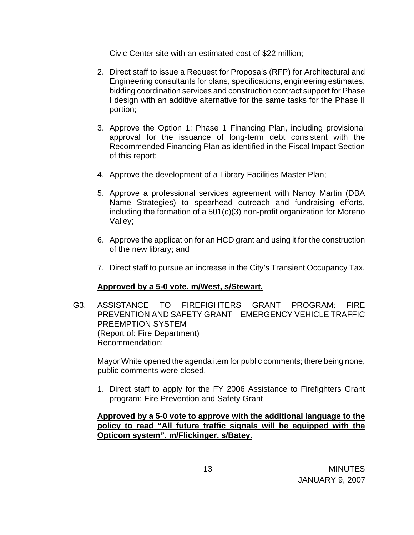Civic Center site with an estimated cost of \$22 million;

- 2. Direct staff to issue a Request for Proposals (RFP) for Architectural and Engineering consultants for plans, specifications, engineering estimates, bidding coordination services and construction contract support for Phase I design with an additive alternative for the same tasks for the Phase II portion;
- 3. Approve the Option 1: Phase 1 Financing Plan, including provisional approval for the issuance of long-term debt consistent with the Recommended Financing Plan as identified in the Fiscal Impact Section of this report;
- 4. Approve the development of a Library Facilities Master Plan;
- 5. Approve a professional services agreement with Nancy Martin (DBA Name Strategies) to spearhead outreach and fundraising efforts, including the formation of a 501(c)(3) non-profit organization for Moreno Valley;
- 6. Approve the application for an HCD grant and using it for the construction of the new library; and
- 7. Direct staff to pursue an increase in the City's Transient Occupancy Tax.

# **Approved by a 5-0 vote. m/West, s/Stewart.**

G3. ASSISTANCE TO FIREFIGHTERS GRANT PROGRAM: FIRE PREVENTION AND SAFETY GRANT – EMERGENCY VEHICLE TRAFFIC PREEMPTION SYSTEM (Report of: Fire Department) Recommendation:

 Mayor White opened the agenda item for public comments; there being none, public comments were closed.

1. Direct staff to apply for the FY 2006 Assistance to Firefighters Grant program: Fire Prevention and Safety Grant

**Approved by a 5-0 vote to approve with the additional language to the policy to read "All future traffic signals will be equipped with the Opticom system". m/Flickinger, s/Batey.**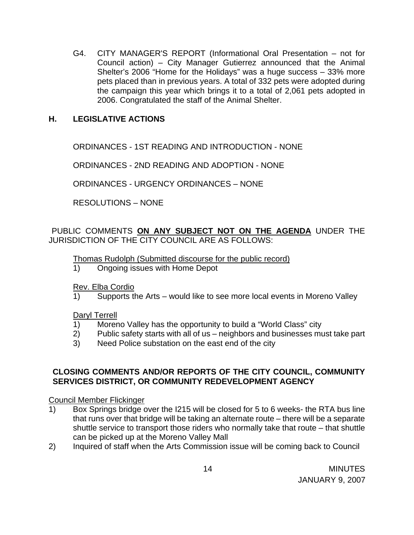G4. CITY MANAGER'S REPORT (Informational Oral Presentation – not for Council action) – City Manager Gutierrez announced that the Animal Shelter's 2006 "Home for the Holidays" was a huge success – 33% more pets placed than in previous years. A total of 332 pets were adopted during the campaign this year which brings it to a total of 2,061 pets adopted in 2006. Congratulated the staff of the Animal Shelter.

## **H. LEGISLATIVE ACTIONS**

ORDINANCES - 1ST READING AND INTRODUCTION - NONE

ORDINANCES - 2ND READING AND ADOPTION - NONE

ORDINANCES - URGENCY ORDINANCES – NONE

RESOLUTIONS – NONE

PUBLIC COMMENTS **ON ANY SUBJECT NOT ON THE AGENDA** UNDER THE JURISDICTION OF THE CITY COUNCIL ARE AS FOLLOWS:

### Thomas Rudolph (Submitted discourse for the public record)

1) Ongoing issues with Home Depot

Rev. Elba Cordio

1) Supports the Arts – would like to see more local events in Moreno Valley

Daryl Terrell

- 1) Moreno Valley has the opportunity to build a "World Class" city
- 2) Public safety starts with all of us neighbors and businesses must take part
- 3) Need Police substation on the east end of the city

### **CLOSING COMMENTS AND/OR REPORTS OF THE CITY COUNCIL, COMMUNITY SERVICES DISTRICT, OR COMMUNITY REDEVELOPMENT AGENCY**

Council Member Flickinger

- 1) Box Springs bridge over the I215 will be closed for 5 to 6 weeks- the RTA bus line that runs over that bridge will be taking an alternate route – there will be a separate shuttle service to transport those riders who normally take that route – that shuttle can be picked up at the Moreno Valley Mall
- 2) Inquired of staff when the Arts Commission issue will be coming back to Council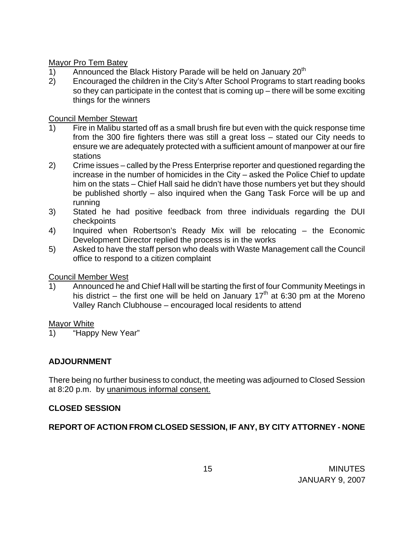## Mayor Pro Tem Batey

- 1) Announced the Black History Parade will be held on January  $20<sup>th</sup>$
- 2) Encouraged the children in the City's After School Programs to start reading books so they can participate in the contest that is coming up – there will be some exciting things for the winners

## Council Member Stewart

- 1) Fire in Malibu started off as a small brush fire but even with the quick response time from the 300 fire fighters there was still a great loss – stated our City needs to ensure we are adequately protected with a sufficient amount of manpower at our fire stations
- 2) Crime issues called by the Press Enterprise reporter and questioned regarding the increase in the number of homicides in the City – asked the Police Chief to update him on the stats – Chief Hall said he didn't have those numbers yet but they should be published shortly – also inquired when the Gang Task Force will be up and running
- 3) Stated he had positive feedback from three individuals regarding the DUI checkpoints
- 4) Inquired when Robertson's Ready Mix will be relocating the Economic Development Director replied the process is in the works
- 5) Asked to have the staff person who deals with Waste Management call the Council office to respond to a citizen complaint

# Council Member West

1) Announced he and Chief Hall will be starting the first of four Community Meetings in his district – the first one will be held on January 17<sup>th</sup> at 6:30 pm at the Moreno Valley Ranch Clubhouse – encouraged local residents to attend

### Mayor White

1) "Happy New Year"

# **ADJOURNMENT**

There being no further business to conduct, the meeting was adjourned to Closed Session at 8:20 p.m. by unanimous informal consent.

# **CLOSED SESSION**

# **REPORT OF ACTION FROM CLOSED SESSION, IF ANY, BY CITY ATTORNEY - NONE**